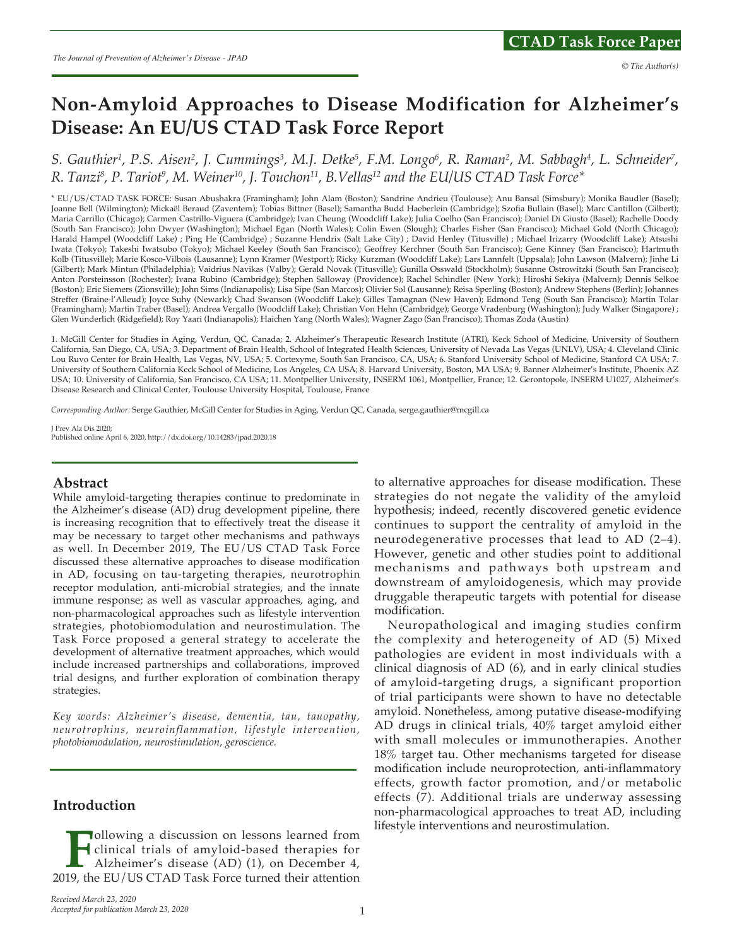# **Non-Amyloid Approaches to Disease Modification for Alzheimer's Disease: An EU/US CTAD Task Force Report**

S. Gauthier<sup>1</sup>, P.S. Aisen<sup>2</sup>, J. Cummings<sup>3</sup>, M.J. Detke<sup>5</sup>, F.M. Longo<sup>6</sup>, R. Raman<sup>2</sup>, M. Sabbagh<sup>4</sup>, L. Schneider<sup>7</sup>, *R. Tanzi8 , P. Tariot9 , M. Weiner10, J. Touchon11, B.Vellas12 and the EU/US CTAD Task Force\**

\* EU/US/CTAD TASK FORCE: Susan Abushakra (Framingham); John Alam (Boston); Sandrine Andrieu (Toulouse); Anu Bansal (Simsbury); Monika Baudler (Basel); Joanne Bell (Wilmington); Mickaël Beraud (Zaventem); Tobias Bittner (Basel); Samantha Budd Haeberlein (Cambridge); Szofia Bullain (Basel); Marc Cantillon (Gilbert); Maria Carrillo (Chicago); Carmen Castrillo-Viguera (Cambridge); Ivan Cheung (Woodcliff Lake); Julia Coelho (San Francisco); Daniel Di Giusto (Basel); Rachelle Doody (South San Francisco); John Dwyer (Washington); Michael Egan (North Wales); Colin Ewen (Slough); Charles Fisher (San Francisco); Michael Gold (North Chicago); Harald Hampel (Woodcliff Lake) ; Ping He (Cambridge) ; Suzanne Hendrix (Salt Lake City) ; David Henley (Titusville) ; Michael Irizarry (Woodcliff Lake); Atsushi Iwata (Tokyo); Takeshi Iwatsubo (Tokyo); Michael Keeley (South San Francisco); Geoffrey Kerchner (South San Francisco); Gene Kinney (San Francisco); Hartmuth Kolb (Titusville); Marie Kosco-Vilbois (Lausanne); Lynn Kramer (Westport); Ricky Kurzman (Woodcliff Lake); Lars Lannfelt (Uppsala); John Lawson (Malvern); Jinhe Li (Gilbert); Mark Mintun (Philadelphia); Vaidrius Navikas (Valby); Gerald Novak (Titusville); Gunilla Osswald (Stockholm); Susanne Ostrowitzki (South San Francisco); Anton Porsteinsson (Rochester); Ivana Rubino (Cambridge); Stephen Salloway (Providence); Rachel Schindler (New York); Hiroshi Sekiya (Malvern); Dennis Selkoe (Boston); Eric Siemers (Zionsville); John Sims (Indianapolis); Lisa Sipe (San Marcos); Olivier Sol (Lausanne); Reisa Sperling (Boston); Andrew Stephens (Berlin); Johannes Streffer (Braine-l'Alleud); Joyce Suhy (Newark); Chad Swanson (Woodcliff Lake); Gilles Tamagnan (New Haven); Edmond Teng (South San Francisco); Martin Tolar (Framingham); Martin Traber (Basel); Andrea Vergallo (Woodcliff Lake); Christian Von Hehn (Cambridge); George Vradenburg (Washington); Judy Walker (Singapore) ; Glen Wunderlich (Ridgefield); Roy Yaari (Indianapolis); Haichen Yang (North Wales); Wagner Zago (San Francisco); Thomas Zoda (Austin)

1. McGill Center for Studies in Aging, Verdun, QC, Canada; 2. Alzheimer's Therapeutic Research Institute (ATRI), Keck School of Medicine, University of Southern California, San Diego, CA, USA; 3. Department of Brain Health, School of Integrated Health Sciences, University of Nevada Las Vegas (UNLV), USA; 4. Cleveland Clinic Lou Ruvo Center for Brain Health, Las Vegas, NV, USA; 5. Cortexyme, South San Francisco, CA, USA; 6. Stanford University School of Medicine, Stanford CA USA; 7. University of Southern California Keck School of Medicine, Los Angeles, CA USA; 8. Harvard University, Boston, MA USA; 9. Banner Alzheimer's Institute, Phoenix AZ USA; 10. University of California, San Francisco, CA USA; 11. Montpellier University, INSERM 1061, Montpellier, France; 12. Gerontopole, INSERM U1027, Alzheimer's Disease Research and Clinical Center, Toulouse University Hospital, Toulouse, France

*Corresponding Author:* Serge Gauthier, McGill Center for Studies in Aging, Verdun QC, Canada, serge.gauthier@mcgill.ca

J Prev Alz Dis 2020; Published online April 6, 2020, http://dx.doi.org/10.14283/jpad.2020.18

#### **Abstract**

While amyloid-targeting therapies continue to predominate in the Alzheimer's disease (AD) drug development pipeline, there is increasing recognition that to effectively treat the disease it may be necessary to target other mechanisms and pathways as well. In December 2019, The EU/US CTAD Task Force discussed these alternative approaches to disease modification in AD, focusing on tau-targeting therapies, neurotrophin receptor modulation, anti-microbial strategies, and the innate immune response; as well as vascular approaches, aging, and non-pharmacological approaches such as lifestyle intervention strategies, photobiomodulation and neurostimulation. The Task Force proposed a general strategy to accelerate the development of alternative treatment approaches, which would include increased partnerships and collaborations, improved trial designs, and further exploration of combination therapy strategies.

*Key words: Alzheimer's disease, dementia, tau, tauopathy, neurotrophins, neuroinflammation, lifestyle intervention, photobiomodulation, neurostimulation, geroscience.*

### **Introduction**

**F**ollowing a discussion on lessons learned from<br> **F**olinical trials of amyloid-based therapies for<br> *Alzheimer's* disease (AD) (1), on December 4,<br>
2019, the EU/US CTAD Task Force turned their attention clinical trials of amyloid-based therapies for Alzheimer's disease (AD) (1), on December 4,

to alternative approaches for disease modification. These strategies do not negate the validity of the amyloid hypothesis; indeed, recently discovered genetic evidence continues to support the centrality of amyloid in the neurodegenerative processes that lead to AD (2–4). However, genetic and other studies point to additional mechanisms and pathways both upstream and downstream of amyloidogenesis, which may provide druggable therapeutic targets with potential for disease modification.

Neuropathological and imaging studies confirm the complexity and heterogeneity of AD (5) Mixed pathologies are evident in most individuals with a clinical diagnosis of AD (6), and in early clinical studies of amyloid-targeting drugs, a significant proportion of trial participants were shown to have no detectable amyloid. Nonetheless, among putative disease-modifying AD drugs in clinical trials, 40% target amyloid either with small molecules or immunotherapies. Another 18% target tau. Other mechanisms targeted for disease modification include neuroprotection, anti-inflammatory effects, growth factor promotion, and/or metabolic effects (7). Additional trials are underway assessing non-pharmacological approaches to treat AD, including lifestyle interventions and neurostimulation.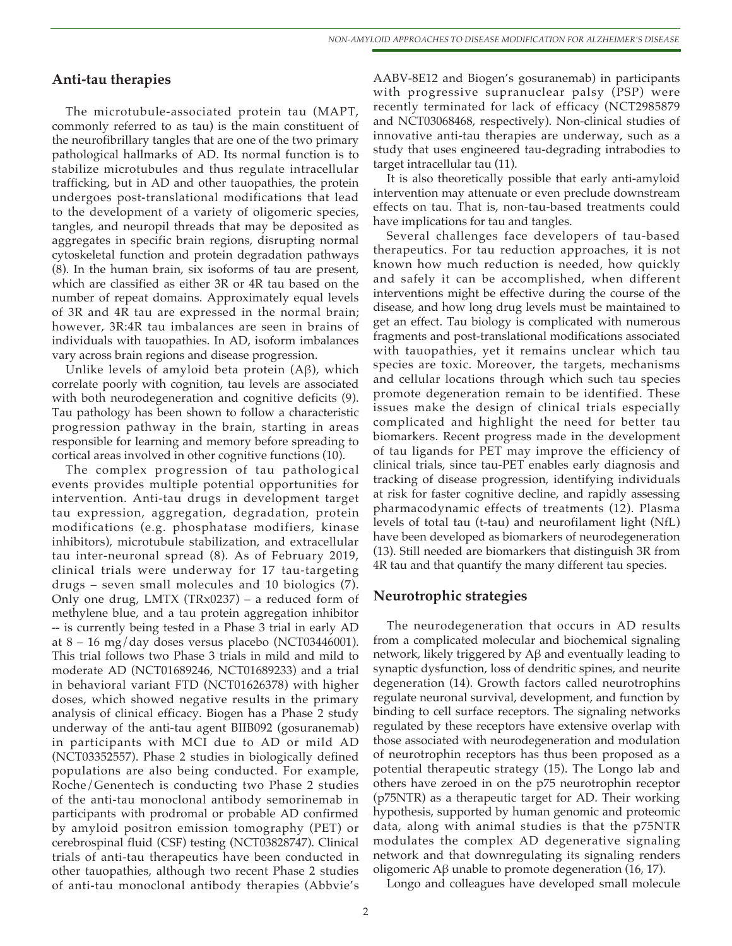### **Anti-tau therapies**

The microtubule-associated protein tau (MAPT, commonly referred to as tau) is the main constituent of the neurofibrillary tangles that are one of the two primary pathological hallmarks of AD. Its normal function is to stabilize microtubules and thus regulate intracellular trafficking, but in AD and other tauopathies, the protein undergoes post-translational modifications that lead to the development of a variety of oligomeric species, tangles, and neuropil threads that may be deposited as aggregates in specific brain regions, disrupting normal cytoskeletal function and protein degradation pathways (8). In the human brain, six isoforms of tau are present, which are classified as either 3R or 4R tau based on the number of repeat domains. Approximately equal levels of 3R and 4R tau are expressed in the normal brain; however, 3R:4R tau imbalances are seen in brains of individuals with tauopathies. In AD, isoform imbalances vary across brain regions and disease progression.

Unlike levels of amyloid beta protein (Aβ), which correlate poorly with cognition, tau levels are associated with both neurodegeneration and cognitive deficits (9). Tau pathology has been shown to follow a characteristic progression pathway in the brain, starting in areas responsible for learning and memory before spreading to cortical areas involved in other cognitive functions (10).

The complex progression of tau pathological events provides multiple potential opportunities for intervention. Anti-tau drugs in development target tau expression, aggregation, degradation, protein modifications (e.g. phosphatase modifiers, kinase inhibitors), microtubule stabilization, and extracellular tau inter-neuronal spread (8). As of February 2019, clinical trials were underway for 17 tau-targeting drugs – seven small molecules and 10 biologics (7). Only one drug, LMTX (TRx0237) – a reduced form of methylene blue, and a tau protein aggregation inhibitor -- is currently being tested in a Phase 3 trial in early AD at  $8 - 16$  mg/day doses versus placebo (NCT03446001). This trial follows two Phase 3 trials in mild and mild to moderate AD (NCT01689246, NCT01689233) and a trial in behavioral variant FTD (NCT01626378) with higher doses, which showed negative results in the primary analysis of clinical efficacy. Biogen has a Phase 2 study underway of the anti-tau agent BIIB092 (gosuranemab) in participants with MCI due to AD or mild AD (NCT03352557). Phase 2 studies in biologically defined populations are also being conducted. For example, Roche/Genentech is conducting two Phase 2 studies of the anti-tau monoclonal antibody semorinemab in participants with prodromal or probable AD confirmed by amyloid positron emission tomography (PET) or cerebrospinal fluid (CSF) testing (NCT03828747). Clinical trials of anti-tau therapeutics have been conducted in other tauopathies, although two recent Phase 2 studies of anti-tau monoclonal antibody therapies (Abbvie's

AABV-8E12 and Biogen's gosuranemab) in participants with progressive supranuclear palsy (PSP) were recently terminated for lack of efficacy (NCT2985879 and NCT03068468, respectively). Non-clinical studies of innovative anti-tau therapies are underway, such as a study that uses engineered tau-degrading intrabodies to target intracellular tau (11).

It is also theoretically possible that early anti-amyloid intervention may attenuate or even preclude downstream effects on tau. That is, non-tau-based treatments could have implications for tau and tangles.

Several challenges face developers of tau-based therapeutics. For tau reduction approaches, it is not known how much reduction is needed, how quickly and safely it can be accomplished, when different interventions might be effective during the course of the disease, and how long drug levels must be maintained to get an effect. Tau biology is complicated with numerous fragments and post-translational modifications associated with tauopathies, yet it remains unclear which tau species are toxic. Moreover, the targets, mechanisms and cellular locations through which such tau species promote degeneration remain to be identified. These issues make the design of clinical trials especially complicated and highlight the need for better tau biomarkers. Recent progress made in the development of tau ligands for PET may improve the efficiency of clinical trials, since tau-PET enables early diagnosis and tracking of disease progression, identifying individuals at risk for faster cognitive decline, and rapidly assessing pharmacodynamic effects of treatments (12). Plasma levels of total tau (t-tau) and neurofilament light (NfL) have been developed as biomarkers of neurodegeneration (13). Still needed are biomarkers that distinguish 3R from 4R tau and that quantify the many different tau species.

### **Neurotrophic strategies**

The neurodegeneration that occurs in AD results from a complicated molecular and biochemical signaling network, likely triggered by Aβ and eventually leading to synaptic dysfunction, loss of dendritic spines, and neurite degeneration (14). Growth factors called neurotrophins regulate neuronal survival, development, and function by binding to cell surface receptors. The signaling networks regulated by these receptors have extensive overlap with those associated with neurodegeneration and modulation of neurotrophin receptors has thus been proposed as a potential therapeutic strategy (15). The Longo lab and others have zeroed in on the p75 neurotrophin receptor (p75NTR) as a therapeutic target for AD. Their working hypothesis, supported by human genomic and proteomic data, along with animal studies is that the p75NTR modulates the complex AD degenerative signaling network and that downregulating its signaling renders oligomeric Aβ unable to promote degeneration (16, 17).

Longo and colleagues have developed small molecule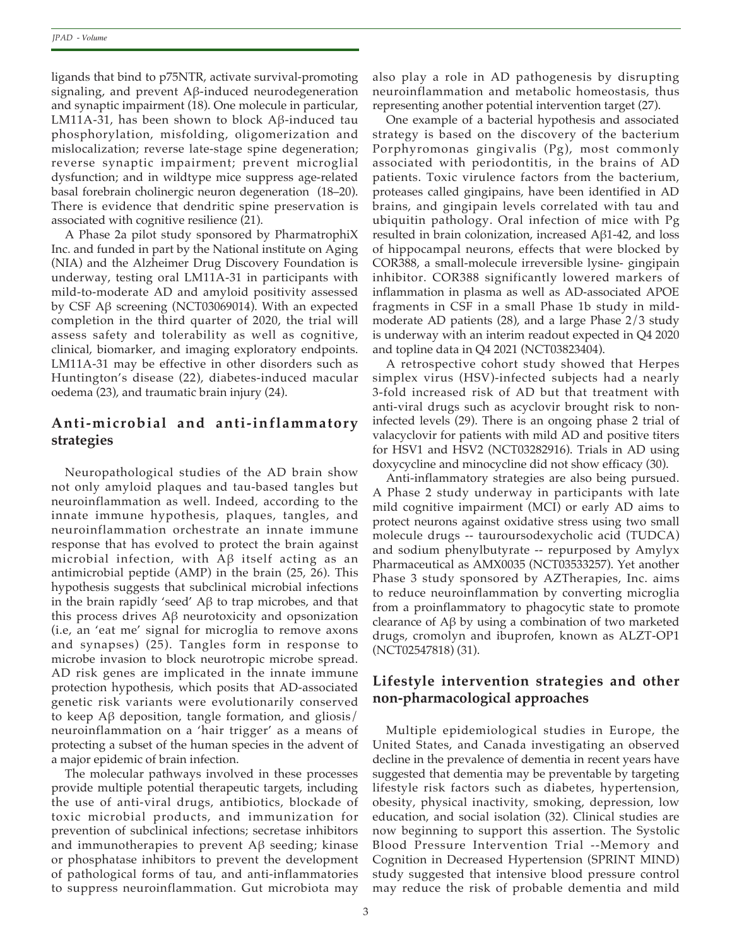ligands that bind to p75NTR, activate survival-promoting signaling, and prevent Aβ-induced neurodegeneration and synaptic impairment (18). One molecule in particular, LM11A-31, has been shown to block Aβ-induced tau phosphorylation, misfolding, oligomerization and mislocalization; reverse late-stage spine degeneration; reverse synaptic impairment; prevent microglial dysfunction; and in wildtype mice suppress age-related basal forebrain cholinergic neuron degeneration (18–20). There is evidence that dendritic spine preservation is associated with cognitive resilience (21).

A Phase 2a pilot study sponsored by PharmatrophiX Inc. and funded in part by the National institute on Aging (NIA) and the Alzheimer Drug Discovery Foundation is underway, testing oral LM11A-31 in participants with mild-to-moderate AD and amyloid positivity assessed by CSF Aβ screening (NCT03069014). With an expected completion in the third quarter of 2020, the trial will assess safety and tolerability as well as cognitive, clinical, biomarker, and imaging exploratory endpoints. LM11A-31 may be effective in other disorders such as Huntington's disease (22), diabetes-induced macular oedema (23), and traumatic brain injury (24).

## **Anti-microbial and anti-inflammatory strategies**

Neuropathological studies of the AD brain show not only amyloid plaques and tau-based tangles but neuroinflammation as well. Indeed, according to the innate immune hypothesis, plaques, tangles, and neuroinflammation orchestrate an innate immune response that has evolved to protect the brain against microbial infection, with Aβ itself acting as an antimicrobial peptide (AMP) in the brain (25, 26). This hypothesis suggests that subclinical microbial infections in the brain rapidly 'seed' Aβ to trap microbes, and that this process drives Aβ neurotoxicity and opsonization (i.e, an 'eat me' signal for microglia to remove axons and synapses) (25). Tangles form in response to microbe invasion to block neurotropic microbe spread. AD risk genes are implicated in the innate immune protection hypothesis, which posits that AD-associated genetic risk variants were evolutionarily conserved to keep Aβ deposition, tangle formation, and gliosis/ neuroinflammation on a 'hair trigger' as a means of protecting a subset of the human species in the advent of a major epidemic of brain infection.

The molecular pathways involved in these processes provide multiple potential therapeutic targets, including the use of anti-viral drugs, antibiotics, blockade of toxic microbial products, and immunization for prevention of subclinical infections; secretase inhibitors and immunotherapies to prevent  $A\beta$  seeding; kinase or phosphatase inhibitors to prevent the development of pathological forms of tau, and anti-inflammatories to suppress neuroinflammation. Gut microbiota may

also play a role in AD pathogenesis by disrupting neuroinflammation and metabolic homeostasis, thus representing another potential intervention target (27).

One example of a bacterial hypothesis and associated strategy is based on the discovery of the bacterium Porphyromonas gingivalis (Pg), most commonly associated with periodontitis, in the brains of AD patients. Toxic virulence factors from the bacterium, proteases called gingipains, have been identified in AD brains, and gingipain levels correlated with tau and ubiquitin pathology. Oral infection of mice with Pg resulted in brain colonization, increased Aβ1-42, and loss of hippocampal neurons, effects that were blocked by COR388, a small-molecule irreversible lysine- gingipain inhibitor. COR388 significantly lowered markers of inflammation in plasma as well as AD-associated APOE fragments in CSF in a small Phase 1b study in mildmoderate AD patients (28), and a large Phase 2/3 study is underway with an interim readout expected in Q4 2020 and topline data in Q4 2021 (NCT03823404).

A retrospective cohort study showed that Herpes simplex virus (HSV)-infected subjects had a nearly 3-fold increased risk of AD but that treatment with anti-viral drugs such as acyclovir brought risk to noninfected levels (29). There is an ongoing phase 2 trial of valacyclovir for patients with mild AD and positive titers for HSV1 and HSV2 (NCT03282916). Trials in AD using doxycycline and minocycline did not show efficacy (30).

Anti-inflammatory strategies are also being pursued. A Phase 2 study underway in participants with late mild cognitive impairment (MCI) or early AD aims to protect neurons against oxidative stress using two small molecule drugs -- tauroursodexycholic acid (TUDCA) and sodium phenylbutyrate -- repurposed by Amylyx Pharmaceutical as AMX0035 (NCT03533257). Yet another Phase 3 study sponsored by AZTherapies, Inc. aims to reduce neuroinflammation by converting microglia from a proinflammatory to phagocytic state to promote clearance of Aβ by using a combination of two marketed drugs, cromolyn and ibuprofen, known as ALZT-OP1 (NCT02547818) (31).

# **Lifestyle intervention strategies and other non-pharmacological approaches**

Multiple epidemiological studies in Europe, the United States, and Canada investigating an observed decline in the prevalence of dementia in recent years have suggested that dementia may be preventable by targeting lifestyle risk factors such as diabetes, hypertension, obesity, physical inactivity, smoking, depression, low education, and social isolation (32). Clinical studies are now beginning to support this assertion. The Systolic Blood Pressure Intervention Trial --Memory and Cognition in Decreased Hypertension (SPRINT MIND) study suggested that intensive blood pressure control may reduce the risk of probable dementia and mild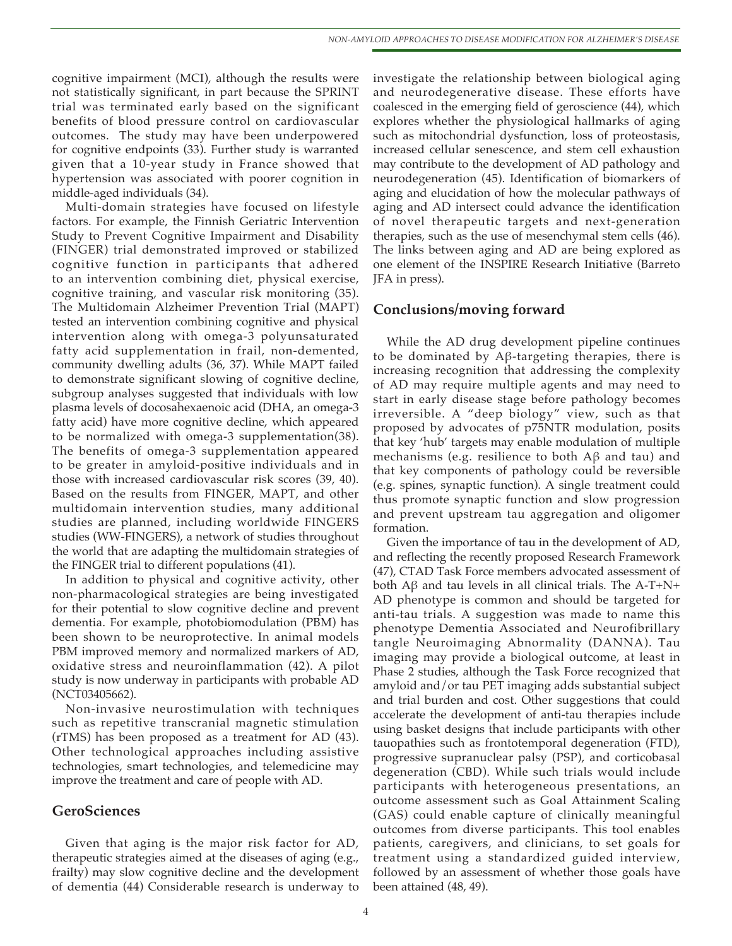cognitive impairment (MCI), although the results were not statistically significant, in part because the SPRINT trial was terminated early based on the significant benefits of blood pressure control on cardiovascular outcomes. The study may have been underpowered for cognitive endpoints (33). Further study is warranted given that a 10-year study in France showed that hypertension was associated with poorer cognition in middle-aged individuals (34).

Multi-domain strategies have focused on lifestyle factors. For example, the Finnish Geriatric Intervention Study to Prevent Cognitive Impairment and Disability (FINGER) trial demonstrated improved or stabilized cognitive function in participants that adhered to an intervention combining diet, physical exercise, cognitive training, and vascular risk monitoring (35). The Multidomain Alzheimer Prevention Trial (MAPT) tested an intervention combining cognitive and physical intervention along with omega-3 polyunsaturated fatty acid supplementation in frail, non-demented, community dwelling adults (36, 37). While MAPT failed to demonstrate significant slowing of cognitive decline, subgroup analyses suggested that individuals with low plasma levels of docosahexaenoic acid (DHA, an omega-3 fatty acid) have more cognitive decline, which appeared to be normalized with omega-3 supplementation(38). The benefits of omega-3 supplementation appeared to be greater in amyloid-positive individuals and in those with increased cardiovascular risk scores (39, 40). Based on the results from FINGER, MAPT, and other multidomain intervention studies, many additional studies are planned, including worldwide FINGERS studies (WW-FINGERS), a network of studies throughout the world that are adapting the multidomain strategies of the FINGER trial to different populations (41).

In addition to physical and cognitive activity, other non-pharmacological strategies are being investigated for their potential to slow cognitive decline and prevent dementia. For example, photobiomodulation (PBM) has been shown to be neuroprotective. In animal models PBM improved memory and normalized markers of AD, oxidative stress and neuroinflammation (42). A pilot study is now underway in participants with probable AD (NCT03405662).

Non-invasive neurostimulation with techniques such as repetitive transcranial magnetic stimulation (rTMS) has been proposed as a treatment for AD (43). Other technological approaches including assistive technologies, smart technologies, and telemedicine may improve the treatment and care of people with AD.

### **GeroSciences**

Given that aging is the major risk factor for AD, therapeutic strategies aimed at the diseases of aging (e.g., frailty) may slow cognitive decline and the development of dementia (44) Considerable research is underway to investigate the relationship between biological aging and neurodegenerative disease. These efforts have coalesced in the emerging field of geroscience (44), which explores whether the physiological hallmarks of aging such as mitochondrial dysfunction, loss of proteostasis, increased cellular senescence, and stem cell exhaustion may contribute to the development of AD pathology and neurodegeneration (45). Identification of biomarkers of aging and elucidation of how the molecular pathways of aging and AD intersect could advance the identification of novel therapeutic targets and next-generation therapies, such as the use of mesenchymal stem cells (46). The links between aging and AD are being explored as one element of the INSPIRE Research Initiative (Barreto JFA in press).

### **Conclusions/moving forward**

While the AD drug development pipeline continues to be dominated by Aβ-targeting therapies, there is increasing recognition that addressing the complexity of AD may require multiple agents and may need to start in early disease stage before pathology becomes irreversible. A "deep biology" view, such as that proposed by advocates of p75NTR modulation, posits that key 'hub' targets may enable modulation of multiple mechanisms (e.g. resilience to both Aβ and tau) and that key components of pathology could be reversible (e.g. spines, synaptic function). A single treatment could thus promote synaptic function and slow progression and prevent upstream tau aggregation and oligomer formation.

Given the importance of tau in the development of AD, and reflecting the recently proposed Research Framework (47), CTAD Task Force members advocated assessment of both  $\text{A}\beta$  and tau levels in all clinical trials. The A-T+N+ AD phenotype is common and should be targeted for anti-tau trials. A suggestion was made to name this phenotype Dementia Associated and Neurofibrillary tangle Neuroimaging Abnormality (DANNA). Tau imaging may provide a biological outcome, at least in Phase 2 studies, although the Task Force recognized that amyloid and/or tau PET imaging adds substantial subject and trial burden and cost. Other suggestions that could accelerate the development of anti-tau therapies include using basket designs that include participants with other tauopathies such as frontotemporal degeneration (FTD), progressive supranuclear palsy (PSP), and corticobasal degeneration (CBD). While such trials would include participants with heterogeneous presentations, an outcome assessment such as Goal Attainment Scaling (GAS) could enable capture of clinically meaningful outcomes from diverse participants. This tool enables patients, caregivers, and clinicians, to set goals for treatment using a standardized guided interview, followed by an assessment of whether those goals have been attained (48, 49).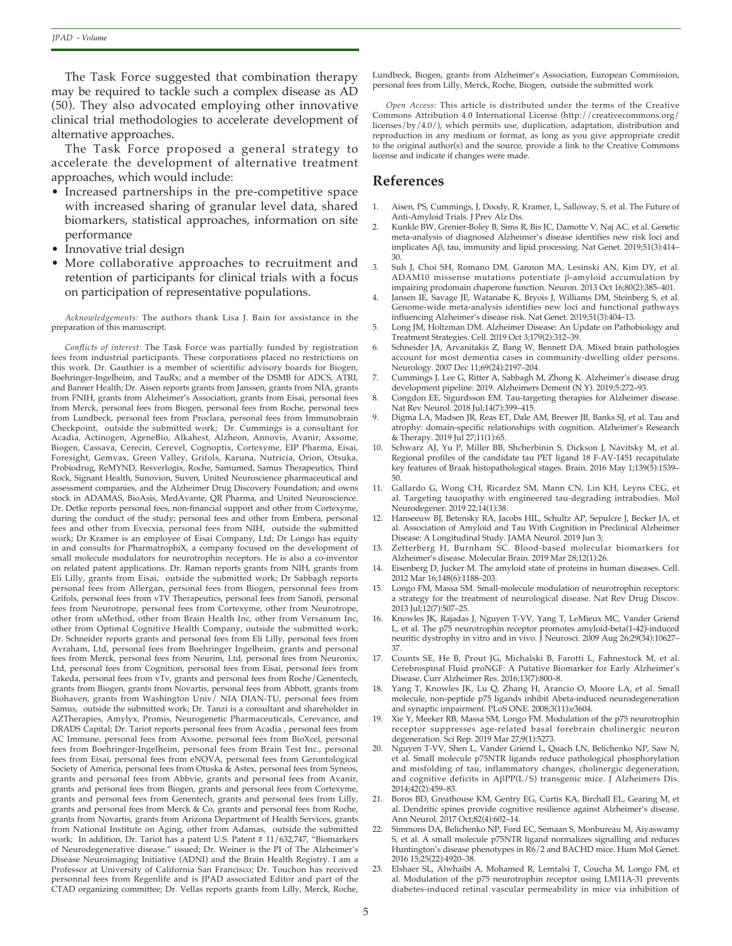The Task Force suggested that combination therapy may be required to tackle such a complex disease as AD (50). They also advocated employing other innovative clinical trial methodologies to accelerate development of alternative approaches.

The Task Force proposed a general strategy to accelerate the development of alternative treatment approaches, which would include:

- Increased partnerships in the pre-competitive space with increased sharing of granular level data, shared biomarkers, statistical approaches, information on site performance
- Innovative trial design
- More collaborative approaches to recruitment and retention of participants for clinical trials with a focus on participation of representative populations.

*Acknowledgements:* The authors thank Lisa J. Bain for assistance in the preparation of this manuscript.

*Conflicts of interest:* The Task Force was partially funded by registration fees from industrial participants. These corporations placed no restrictions on this work. Dr. Gauthier is a member of scientific advisory boards for Biogen, Boehringer-Ingelheim, and TauRx; and a member of the DSMB for ADCS, ATRI, and Banner Health; Dr. Aisen reports grants from Janssen, grants from NIA, grants from FNIH, grants from Alzheimer's Association, grants from Eisai, personal fees from Merck, personal fees from Biogen, personal fees from Roche, personal fees from Lundbeck, personal fees from Proclara, personal fees from Immunobrain Checkpoint, outside the submitted work; Dr. Cummings is a consultant for Acadia, Actinogen, AgeneBio, Alkahest, Alzheon, Annovis, Avanir, Axsome, Biogen, Cassava, Cerecin, Cerevel, Cognoptix, Cortexyme, EIP Pharma, Eisai, Foresight, Gemvax, Green Valley, Grifols, Karuna, Nutricia, Orion, Otsuka, Probiodrug, ReMYND, Resverlogix, Roche, Samumed, Samus Therapeutics, Third Rock, Signant Health, Sunovion, Suven, United Neuroscience pharmaceutical and assessment companies, and the Alzheimer Drug Discovery Foundation; and owns stock in ADAMAS, BioAsis, MedAvante, QR Pharma, and United Neuroscience. Dr. Detke reports personal fees, non-financial support and other from Cortexyme, during the conduct of the study; personal fees and other from Embera, personal fees and other from Evecxia, personal fees from NIH, outside the submitted work; Dr Kramer is an employee of Eisai Company, Ltd; Dr Longo has equity in and consults for PharmatrophiX, a company focused on the development of small molecule modulators for neurotrophin receptors. He is also a co-inventor on related patent applications. Dr. Raman reports grants from NIH, grants from Eli Lilly, grants from Eisai, outside the submitted work; Dr Sabbagh reports personal fees from Allergan, personal fees from Biogen, personnal fees from Grifols, personal fees from vTV Therapeutics, personal fees from Sanofi, personal fees from Neurotrope, personal fees from Cortexyme, other from Neurotrope, other from uMethod, other from Brain Health Inc, other from Versanum Inc, other from Optimal Cognitive Health Company, outside the submitted work; Dr. Schneider reports grants and personal fees from Eli Lilly, personal fees from Avraham, Ltd, personal fees from Boehringer Ingelheim, grants and personal fees from Merck, personal fees from Neurim, Ltd, personal fees from Neuronix, Ltd, personal fees from Cognition, personal fees from Eisai, personal fees from Takeda, personal fees from vTv, grants and personal fees from Roche/Genentech, grants from Biogen, grants from Novartis, personal fees from Abbott, grants from Biohaven, grants from Washington Univ/ NIA DIAN-TU, personal fees from Samus, outside the submitted work; Dr. Tanzi is a consultant and shareholder in AZTherapies, Amylyx, Promis, Neurogenetic Pharmaceuticals, Cerevance, and DRADS Capital; Dr. Tariot reports personal fees from Acadia , personal fees from AC Immune, personal fees from Axsome, personal fees from BioXcel, personal fees from Boehringer-Ingelheim, personal fees from Brain Test Inc., personal fees from Eisai, personal fees from eNOVA, personal fees from Gerontological Society of America, personal fees from Otuska & Astex, personal fees from Syneos, grants and personal fees from Abbvie, grants and personal fees from Avanir, grants and personal fees from Biogen, grants and personal fees from Cortexyme, grants and personal fees from Genentech, grants and personal fees from Lilly, grants and personal fees from Merck & Co, grants and personal fees from Roche, grants from Novartis, grants from Arizona Department of Health Services, grants from National Institute on Aging, other from Adamas, outside the submitted work; In addition, Dr. Tariot has a patent U.S. Patent # 11/632,747, "Biomarkers of Neurodegenerative disease." issued; Dr. Weiner is the PI of The Alzheimer's Disease Neuroimaging Initiative (ADNI) and the Brain Health Registry. I am a Professor at University of California San Francisco; Dr. Touchon has received personnal fees from Regenlife and is JPAD associated Editor and part of the CTAD organizing committee; Dr. Vellas reports grants from Lilly, Merck, Roche,

Lundbeck, Biogen, grants from Alzheimer's Association, European Commission, personal fees from Lilly, Merck, Roche, Biogen, outside the submitted work

*Open Access:* This article is distributed under the terms of the Creative Commons Attribution 4.0 International License (http://creativecommons.org/ licenses/by/4.0/), which permits use, duplication, adaptation, distribution and reproduction in any medium or format, as long as you give appropriate credit to the original author(s) and the source, provide a link to the Creative Commons license and indicate if changes were made.

#### **References**

- 1. Aisen, PS, Cummings, J, Doody, R, Kramer, L, Salloway, S, et al. The Future of Anti-Amyloid Trials. J Prev Alz Dis.
- 2. Kunkle BW, Grenier-Boley B, Sims R, Bis JC, Damotte V, Naj AC, et al. Genetic meta-analysis of diagnosed Alzheimer's disease identifies new risk loci and implicates Aβ, tau, immunity and lipid processing. Nat Genet. 2019;51(3):414– 30.
- 3. Suh J, Choi SH, Romano DM, Gannon MA, Lesinski AN, Kim DY, et al. ADAM10 missense mutations potentiate β-amyloid accumulation by impairing prodomain chaperone function. Neuron. 2013 Oct 16;80(2):385–401.
- 4. Jansen IE, Savage JE, Watanabe K, Bryois J, Williams DM, Steinberg S, et al. Genome-wide meta-analysis identifies new loci and functional pathways influencing Alzheimer's disease risk. Nat Genet. 2019;51(3):404–13.
- 5. Long JM, Holtzman DM. Alzheimer Disease: An Update on Pathobiology and Treatment Strategies. Cell. 2019 Oct 3;179(2):312–39.
- 6. Schneider JA, Arvanitakis Z, Bang W, Bennett DA. Mixed brain pathologies account for most dementia cases in community-dwelling older persons. Neurology. 2007 Dec 11;69(24):2197–204.
- 7. Cummings J, Lee G, Ritter A, Sabbagh M, Zhong K. Alzheimer's disease drug development pipeline: 2019. Alzheimers Dement (N Y). 2019;5:272–93.
- Congdon EE, Sigurdsson EM. Tau-targeting therapies for Alzheimer disease. Nat Rev Neurol. 2018 Jul;14(7):399–415.
- Digma LA, Madsen JR, Reas ET, Dale AM, Brewer JB, Banks SJ, et al. Tau and atrophy: domain-specific relationships with cognition. Alzheimer's Research & Therapy. 2019 Jul 27;11(1):65.
- 10. Schwarz AJ, Yu P, Miller BB, Shcherbinin S, Dickson J, Navitsky M, et al. Regional profiles of the candidate tau PET ligand 18 F-AV-1451 recapitulate key features of Braak histopathological stages. Brain. 2016 May 1;139(5):1539– 50.
- 11. Gallardo G, Wong CH, Ricardez SM, Mann CN, Lin KH, Leyns CEG, et al. Targeting tauopathy with engineered tau-degrading intrabodies. Mol Neurodegener. 2019 22;14(1):38.
- 12. Hanseeuw BJ, Betensky RA, Jacobs HIL, Schultz AP, Sepulcre J, Becker JA, et al. Association of Amyloid and Tau With Cognition in Preclinical Alzheimer Disease: A Longitudinal Study. JAMA Neurol. 2019 Jun 3;
- Zetterberg H, Burnham SC. Blood-based molecular biomarkers for Alzheimer's disease. Molecular Brain. 2019 Mar 28;12(1):26.
- 14. Eisenberg D, Jucker M. The amyloid state of proteins in human diseases. Cell. 2012 Mar 16;148(6):1188–203.
- 15. Longo FM, Massa SM. Small-molecule modulation of neurotrophin receptors: a strategy for the treatment of neurological disease. Nat Rev Drug Discov. 2013 Jul;12(7):507–25.
- 16. Knowles JK, Rajadas J, Nguyen T-VV, Yang T, LeMieux MC, Vander Griend L, et al. The p75 neurotrophin receptor promotes amyloid-beta(1-42)-induced neuritic dystrophy in vitro and in vivo. J Neurosci. 2009 Aug 26;29(34):10627– 37.
- 17. Counts SE, He B, Prout JG, Michalski B, Farotti L, Fahnestock M, et al. Cerebrospinal Fluid proNGF: A Putative Biomarker for Early Alzheimer's Disease. Curr Alzheimer Res. 2016;13(7):800–8.
- 18. Yang T, Knowles JK, Lu Q, Zhang H, Arancio O, Moore LA, et al. Small molecule, non-peptide p75 ligands inhibit Abeta-induced neurodegeneration and synaptic impairment. PLoS ONE. 2008;3(11):e3604.
- 19. Xie Y, Meeker RB, Massa SM, Longo FM. Modulation of the p75 neurotrophin receptor suppresses age-related basal forebrain cholinergic neuron degeneration. Sci Rep. 2019 Mar 27;9(1):5273.
- Nguyen T-VV, Shen L, Vander Griend L, Quach LN, Belichenko NP, Saw N, et al. Small molecule p75NTR ligands reduce pathological phosphorylation and misfolding of tau, inflammatory changes, cholinergic degeneration, and cognitive deficits in AβPP(L/S) transgenic mice. J Alzheimers Dis. 2014;42(2):459–83.
- 21. Boros BD, Greathouse KM, Gentry EG, Curtis KA, Birchall EL, Gearing M, et al. Dendritic spines provide cognitive resilience against Alzheimer's disease. Ann Neurol. 2017 Oct;82(4):602–14.
- Simmons DA, Belichenko NP, Ford EC, Semaan S, Monbureau M, Aiyaswamy S, et al. A small molecule p75NTR ligand normalizes signalling and reduces Huntington's disease phenotypes in R6/2 and BACHD mice. Hum Mol Genet. 2016 15;25(22):4920–38.
- Elshaer SL, Alwhaibi A, Mohamed R, Lemtalsi T, Coucha M, Longo FM, et al. Modulation of the p75 neurotrophin receptor using LM11A-31 prevents diabetes-induced retinal vascular permeability in mice via inhibition of